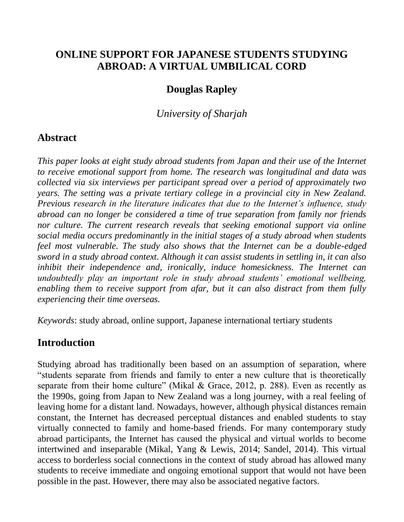# **ONLINE SUPPORT FOR JAPANESE STUDENTS STUDYING ABROAD: A VIRTUAL UMBILICAL CORD**

# **Douglas Rapley**

*University of Sharjah*

# **Abstract**

*This paper looks at eight study abroad students from Japan and their use of the Internet to receive emotional support from home. The research was longitudinal and data was collected via six interviews per participant spread over a period of approximately two years. The setting was a private tertiary college in a provincial city in New Zealand. Previous research in the literature indicates that due to the Internet's influence, study abroad can no longer be considered a time of true separation from family nor friends nor culture. The current research reveals that seeking emotional support via online social media occurs predominantly in the initial stages of a study abroad when students feel most vulnerable. The study also shows that the Internet can be a double-edged sword in a study abroad context. Although it can assist students in settling in, it can also inhibit their independence and, ironically, induce homesickness. The Internet can undoubtedly play an important role in study abroad students' emotional wellbeing, enabling them to receive support from afar, but it can also distract from them fully experiencing their time overseas.*

*Keywords*: study abroad, online support, Japanese international tertiary students

# **Introduction**

Studying abroad has traditionally been based on an assumption of separation, where "students separate from friends and family to enter a new culture that is theoretically separate from their home culture" (Mikal & Grace, 2012, p. 288). Even as recently as the 1990s, going from Japan to New Zealand was a long journey, with a real feeling of leaving home for a distant land. Nowadays, however, although physical distances remain constant, the Internet has decreased perceptual distances and enabled students to stay virtually connected to family and home-based friends. For many contemporary study abroad participants, the Internet has caused the physical and virtual worlds to become intertwined and inseparable (Mikal, Yang & Lewis, 2014; Sandel, 2014). This virtual access to borderless social connections in the context of study abroad has allowed many students to receive immediate and ongoing emotional support that would not have been possible in the past. However, there may also be associated negative factors.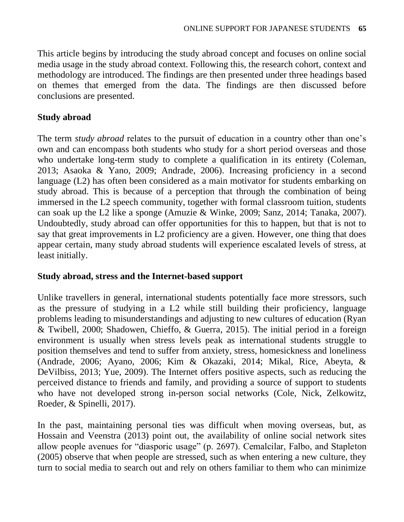This article begins by introducing the study abroad concept and focuses on online social media usage in the study abroad context. Following this, the research cohort, context and methodology are introduced. The findings are then presented under three headings based on themes that emerged from the data. The findings are then discussed before conclusions are presented.

## **Study abroad**

The term *study abroad* relates to the pursuit of education in a country other than one's own and can encompass both students who study for a short period overseas and those who undertake long-term study to complete a qualification in its entirety (Coleman, 2013; Asaoka & Yano, 2009; Andrade, 2006). Increasing proficiency in a second language (L2) has often been considered as a main motivator for students embarking on study abroad. This is because of a perception that through the combination of being immersed in the L2 speech community, together with formal classroom tuition, students can soak up the L2 like a sponge (Amuzie & Winke, 2009; Sanz, 2014; Tanaka, 2007). Undoubtedly, study abroad can offer opportunities for this to happen, but that is not to say that great improvements in L2 proficiency are a given. However, one thing that does appear certain, many study abroad students will experience escalated levels of stress, at least initially.

### **Study abroad, stress and the Internet-based support**

Unlike travellers in general, international students potentially face more stressors, such as the pressure of studying in a L2 while still building their proficiency, language problems leading to misunderstandings and adjusting to new cultures of education (Ryan & Twibell, 2000; Shadowen, Chieffo, & Guerra, 2015). The initial period in a foreign environment is usually when stress levels peak as international students struggle to position themselves and tend to suffer from anxiety, stress, homesickness and loneliness (Andrade, 2006; Ayano, 2006; Kim & Okazaki, 2014; Mikal, Rice, Abeyta, & DeVilbiss, 2013; Yue, 2009). The Internet offers positive aspects, such as reducing the perceived distance to friends and family, and providing a source of support to students who have not developed strong in-person social networks (Cole, Nick, Zelkowitz, Roeder, & Spinelli, 2017).

In the past, maintaining personal ties was difficult when moving overseas, but, as Hossain and Veenstra (2013) point out, the availability of online social network sites allow people avenues for "diasporic usage" (p. 2697). Cemalcilar, Falbo, and Stapleton (2005) observe that when people are stressed, such as when entering a new culture, they turn to social media to search out and rely on others familiar to them who can minimize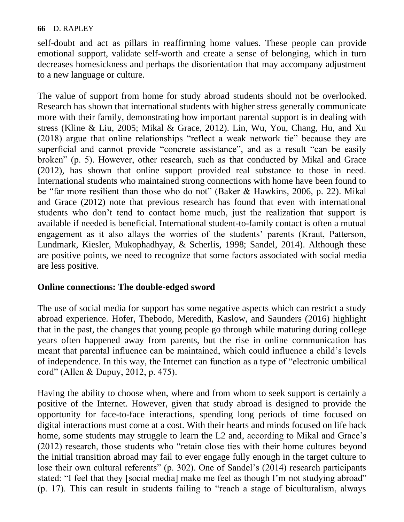self-doubt and act as pillars in reaffirming home values. These people can provide emotional support, validate self-worth and create a sense of belonging, which in turn decreases homesickness and perhaps the disorientation that may accompany adjustment to a new language or culture.

The value of support from home for study abroad students should not be overlooked. Research has shown that international students with higher stress generally communicate more with their family, demonstrating how important parental support is in dealing with stress (Kline & Liu, 2005; Mikal & Grace, 2012). Lin, Wu, You, Chang, Hu, and Xu (2018) argue that online relationships "reflect a weak network tie" because they are superficial and cannot provide "concrete assistance", and as a result "can be easily broken" (p. 5). However, other research, such as that conducted by Mikal and Grace (2012), has shown that online support provided real substance to those in need. International students who maintained strong connections with home have been found to be "far more resilient than those who do not" (Baker & Hawkins, 2006, p. 22). Mikal and Grace (2012) note that previous research has found that even with international students who don't tend to contact home much, just the realization that support is available if needed is beneficial. International student-to-family contact is often a mutual engagement as it also allays the worries of the students' parents (Kraut, Patterson, Lundmark, Kiesler, Mukophadhyay, & Scherlis, 1998; Sandel, 2014). Although these are positive points, we need to recognize that some factors associated with social media are less positive.

### **Online connections: The double-edged sword**

The use of social media for support has some negative aspects which can restrict a study abroad experience. Hofer, Thebodo, Meredith, Kaslow, and Saunders (2016) highlight that in the past, the changes that young people go through while maturing during college years often happened away from parents, but the rise in online communication has meant that parental influence can be maintained, which could influence a child's levels of independence. In this way, the Internet can function as a type of "electronic umbilical cord" (Allen & Dupuy, 2012, p. 475).

Having the ability to choose when, where and from whom to seek support is certainly a positive of the Internet. However, given that study abroad is designed to provide the opportunity for face-to-face interactions, spending long periods of time focused on digital interactions must come at a cost. With their hearts and minds focused on life back home, some students may struggle to learn the L2 and, according to Mikal and Grace's (2012) research, those students who "retain close ties with their home cultures beyond the initial transition abroad may fail to ever engage fully enough in the target culture to lose their own cultural referents" (p. 302). One of Sandel's (2014) research participants stated: "I feel that they [social media] make me feel as though I'm not studying abroad" (p. 17). This can result in students failing to "reach a stage of biculturalism, always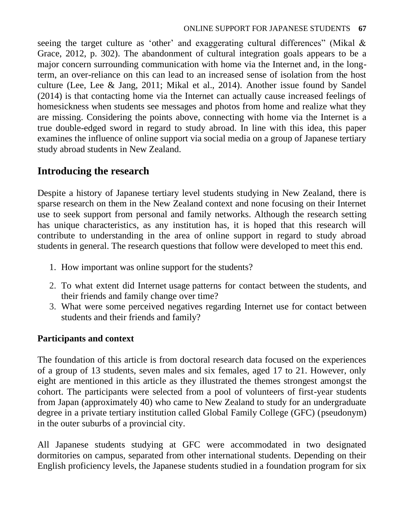seeing the target culture as 'other' and exaggerating cultural differences" (Mikal & Grace, 2012, p. 302). The abandonment of cultural integration goals appears to be a major concern surrounding communication with home via the Internet and, in the longterm, an over-reliance on this can lead to an increased sense of isolation from the host culture (Lee, Lee & Jang, 2011; Mikal et al., 2014). Another issue found by Sandel (2014) is that contacting home via the Internet can actually cause increased feelings of homesickness when students see messages and photos from home and realize what they are missing. Considering the points above, connecting with home via the Internet is a true double-edged sword in regard to study abroad. In line with this idea, this paper examines the influence of online support via social media on a group of Japanese tertiary study abroad students in New Zealand.

# **Introducing the research**

Despite a history of Japanese tertiary level students studying in New Zealand, there is sparse research on them in the New Zealand context and none focusing on their Internet use to seek support from personal and family networks. Although the research setting has unique characteristics, as any institution has, it is hoped that this research will contribute to understanding in the area of online support in regard to study abroad students in general. The research questions that follow were developed to meet this end.

- 1. How important was online support for the students?
- 2. To what extent did Internet usage patterns for contact between the students, and their friends and family change over time?
- 3. What were some perceived negatives regarding Internet use for contact between students and their friends and family?

## **Participants and context**

The foundation of this article is from doctoral research data focused on the experiences of a group of 13 students, seven males and six females, aged 17 to 21. However, only eight are mentioned in this article as they illustrated the themes strongest amongst the cohort. The participants were selected from a pool of volunteers of first-year students from Japan (approximately 40) who came to New Zealand to study for an undergraduate degree in a private tertiary institution called Global Family College (GFC) (pseudonym) in the outer suburbs of a provincial city.

All Japanese students studying at GFC were accommodated in two designated dormitories on campus, separated from other international students. Depending on their English proficiency levels, the Japanese students studied in a foundation program for six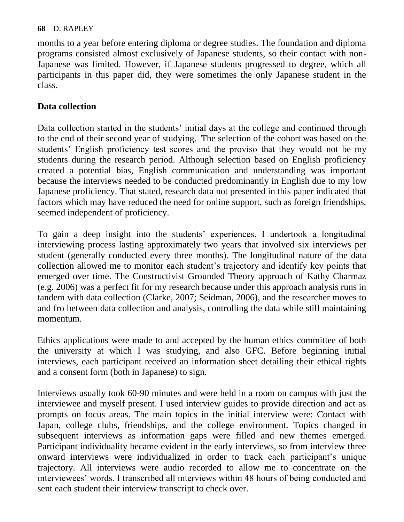months to a year before entering diploma or degree studies. The foundation and diploma programs consisted almost exclusively of Japanese students, so their contact with non-Japanese was limited. However, if Japanese students progressed to degree, which all participants in this paper did, they were sometimes the only Japanese student in the class.

## **Data collection**

Data collection started in the students' initial days at the college and continued through to the end of their second year of studying. The selection of the cohort was based on the students' English proficiency test scores and the proviso that they would not be my students during the research period. Although selection based on English proficiency created a potential bias, English communication and understanding was important because the interviews needed to be conducted predominantly in English due to my low Japanese proficiency. That stated, research data not presented in this paper indicated that factors which may have reduced the need for online support, such as foreign friendships, seemed independent of proficiency.

To gain a deep insight into the students' experiences, I undertook a longitudinal interviewing process lasting approximately two years that involved six interviews per student (generally conducted every three months). The longitudinal nature of the data collection allowed me to monitor each student's trajectory and identify key points that emerged over time. The Constructivist Grounded Theory approach of Kathy Charmaz (e.g. 2006) was a perfect fit for my research because under this approach analysis runs in tandem with data collection (Clarke, 2007; Seidman, 2006), and the researcher moves to and fro between data collection and analysis, controlling the data while still maintaining momentum.

Ethics applications were made to and accepted by the human ethics committee of both the university at which I was studying, and also GFC. Before beginning initial interviews, each participant received an information sheet detailing their ethical rights and a consent form (both in Japanese) to sign.

Interviews usually took 60-90 minutes and were held in a room on campus with just the interviewee and myself present. I used interview guides to provide direction and act as prompts on focus areas. The main topics in the initial interview were: Contact with Japan, college clubs, friendships, and the college environment. Topics changed in subsequent interviews as information gaps were filled and new themes emerged. Participant individuality became evident in the early interviews, so from interview three onward interviews were individualized in order to track each participant's unique trajectory. All interviews were audio recorded to allow me to concentrate on the interviewees' words. I transcribed all interviews within 48 hours of being conducted and sent each student their interview transcript to check over.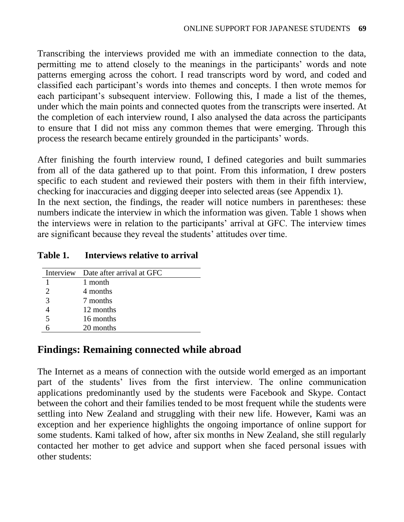Transcribing the interviews provided me with an immediate connection to the data, permitting me to attend closely to the meanings in the participants' words and note patterns emerging across the cohort. I read transcripts word by word, and coded and classified each participant's words into themes and concepts. I then wrote memos for each participant's subsequent interview. Following this, I made a list of the themes, under which the main points and connected quotes from the transcripts were inserted. At the completion of each interview round, I also analysed the data across the participants to ensure that I did not miss any common themes that were emerging. Through this process the research became entirely grounded in the participants' words.

After finishing the fourth interview round, I defined categories and built summaries from all of the data gathered up to that point. From this information, I drew posters specific to each student and reviewed their posters with them in their fifth interview, checking for inaccuracies and digging deeper into selected areas (see Appendix 1). In the next section, the findings, the reader will notice numbers in parentheses: these

numbers indicate the interview in which the information was given. Table 1 shows when the interviews were in relation to the participants' arrival at GFC. The interview times are significant because they reveal the students' attitudes over time.

### **Table 1. Interviews relative to arrival**

|   | Interview Date after arrival at GFC |
|---|-------------------------------------|
|   | 1 month                             |
| っ | 4 months                            |
| 3 | 7 months                            |
|   | 12 months                           |
| 5 | 16 months                           |
|   | 20 months                           |

## **Findings: Remaining connected while abroad**

The Internet as a means of connection with the outside world emerged as an important part of the students' lives from the first interview. The online communication applications predominantly used by the students were Facebook and Skype. Contact between the cohort and their families tended to be most frequent while the students were settling into New Zealand and struggling with their new life. However, Kami was an exception and her experience highlights the ongoing importance of online support for some students. Kami talked of how, after six months in New Zealand, she still regularly contacted her mother to get advice and support when she faced personal issues with other students: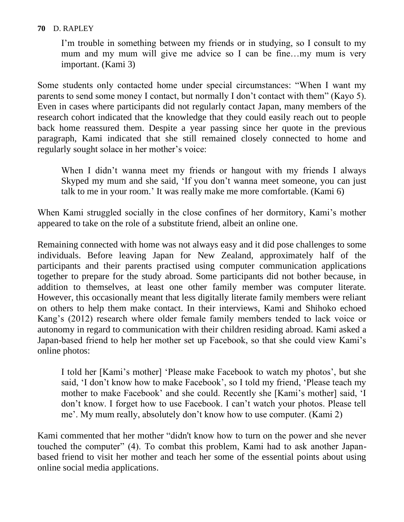I'm trouble in something between my friends or in studying, so I consult to my mum and my mum will give me advice so I can be fine…my mum is very important. (Kami 3)

Some students only contacted home under special circumstances: "When I want my parents to send some money I contact, but normally I don't contact with them" (Kayo 5). Even in cases where participants did not regularly contact Japan, many members of the research cohort indicated that the knowledge that they could easily reach out to people back home reassured them. Despite a year passing since her quote in the previous paragraph, Kami indicated that she still remained closely connected to home and regularly sought solace in her mother's voice:

When I didn't wanna meet my friends or hangout with my friends I always Skyped my mum and she said, 'If you don't wanna meet someone, you can just talk to me in your room.' It was really make me more comfortable. (Kami 6)

When Kami struggled socially in the close confines of her dormitory, Kami's mother appeared to take on the role of a substitute friend, albeit an online one.

Remaining connected with home was not always easy and it did pose challenges to some individuals. Before leaving Japan for New Zealand, approximately half of the participants and their parents practised using computer communication applications together to prepare for the study abroad. Some participants did not bother because, in addition to themselves, at least one other family member was computer literate. However, this occasionally meant that less digitally literate family members were reliant on others to help them make contact. In their interviews, Kami and Shihoko echoed Kang's (2012) research where older female family members tended to lack voice or autonomy in regard to communication with their children residing abroad. Kami asked a Japan-based friend to help her mother set up Facebook, so that she could view Kami's online photos:

I told her [Kami's mother] 'Please make Facebook to watch my photos', but she said, 'I don't know how to make Facebook', so I told my friend, 'Please teach my mother to make Facebook' and she could. Recently she [Kami's mother] said, 'I don't know. I forget how to use Facebook. I can't watch your photos. Please tell me'. My mum really, absolutely don't know how to use computer. (Kami 2)

Kami commented that her mother "didn't know how to turn on the power and she never touched the computer" (4). To combat this problem, Kami had to ask another Japanbased friend to visit her mother and teach her some of the essential points about using online social media applications.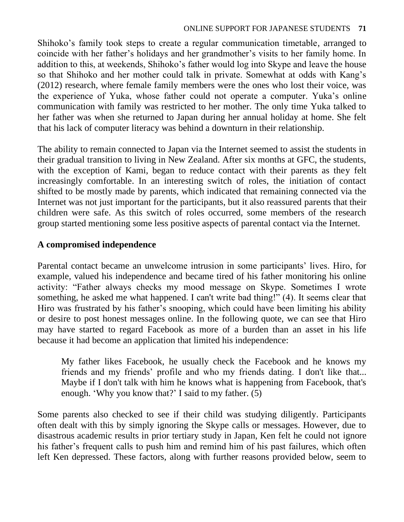Shihoko's family took steps to create a regular communication timetable, arranged to coincide with her father's holidays and her grandmother's visits to her family home. In addition to this, at weekends, Shihoko's father would log into Skype and leave the house so that Shihoko and her mother could talk in private. Somewhat at odds with Kang's (2012) research, where female family members were the ones who lost their voice, was the experience of Yuka, whose father could not operate a computer. Yuka's online communication with family was restricted to her mother. The only time Yuka talked to her father was when she returned to Japan during her annual holiday at home. She felt that his lack of computer literacy was behind a downturn in their relationship.

The ability to remain connected to Japan via the Internet seemed to assist the students in their gradual transition to living in New Zealand. After six months at GFC, the students, with the exception of Kami, began to reduce contact with their parents as they felt increasingly comfortable. In an interesting switch of roles, the initiation of contact shifted to be mostly made by parents, which indicated that remaining connected via the Internet was not just important for the participants, but it also reassured parents that their children were safe. As this switch of roles occurred, some members of the research group started mentioning some less positive aspects of parental contact via the Internet.

# **A compromised independence**

Parental contact became an unwelcome intrusion in some participants' lives. Hiro, for example, valued his independence and became tired of his father monitoring his online activity: "Father always checks my mood message on Skype. Sometimes I wrote something, he asked me what happened. I can't write bad thing!" (4). It seems clear that Hiro was frustrated by his father's snooping, which could have been limiting his ability or desire to post honest messages online. In the following quote, we can see that Hiro may have started to regard Facebook as more of a burden than an asset in his life because it had become an application that limited his independence:

My father likes Facebook, he usually check the Facebook and he knows my friends and my friends' profile and who my friends dating. I don't like that... Maybe if I don't talk with him he knows what is happening from Facebook, that's enough. 'Why you know that?' I said to my father. (5)

Some parents also checked to see if their child was studying diligently. Participants often dealt with this by simply ignoring the Skype calls or messages. However, due to disastrous academic results in prior tertiary study in Japan, Ken felt he could not ignore his father's frequent calls to push him and remind him of his past failures, which often left Ken depressed. These factors, along with further reasons provided below, seem to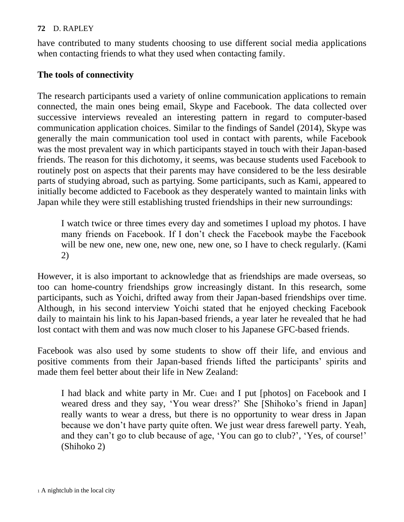have contributed to many students choosing to use different social media applications when contacting friends to what they used when contacting family.

### **The tools of connectivity**

The research participants used a variety of online communication applications to remain connected, the main ones being email, Skype and Facebook. The data collected over successive interviews revealed an interesting pattern in regard to computer-based communication application choices. Similar to the findings of Sandel (2014), Skype was generally the main communication tool used in contact with parents, while Facebook was the most prevalent way in which participants stayed in touch with their Japan-based friends. The reason for this dichotomy, it seems, was because students used Facebook to routinely post on aspects that their parents may have considered to be the less desirable parts of studying abroad, such as partying. Some participants, such as Kami, appeared to initially become addicted to Facebook as they desperately wanted to maintain links with Japan while they were still establishing trusted friendships in their new surroundings:

I watch twice or three times every day and sometimes I upload my photos. I have many friends on Facebook. If I don't check the Facebook maybe the Facebook will be new one, new one, new one, new one, so I have to check regularly. (Kami 2)

However, it is also important to acknowledge that as friendships are made overseas, so too can home-country friendships grow increasingly distant. In this research, some participants, such as Yoichi, drifted away from their Japan-based friendships over time. Although, in his second interview Yoichi stated that he enjoyed checking Facebook daily to maintain his link to his Japan-based friends, a year later he revealed that he had lost contact with them and was now much closer to his Japanese GFC-based friends.

Facebook was also used by some students to show off their life, and envious and positive comments from their Japan-based friends lifted the participants' spirits and made them feel better about their life in New Zealand:

I had black and white party in Mr. Cue<sub>1</sub> and I put [photos] on Facebook and I weared dress and they say, 'You wear dress?' She [Shihoko's friend in Japan] really wants to wear a dress, but there is no opportunity to wear dress in Japan because we don't have party quite often. We just wear dress farewell party. Yeah, and they can't go to club because of age, 'You can go to club?', 'Yes, of course!' (Shihoko 2)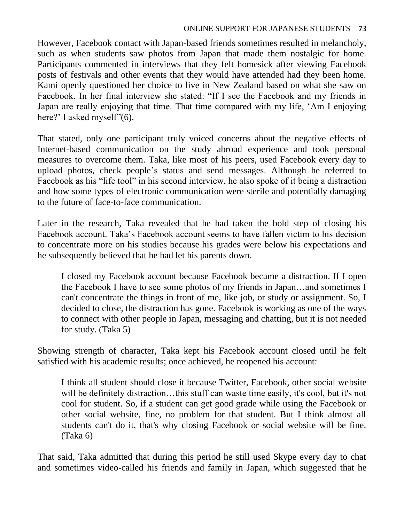#### ONLINE SUPPORT FOR JAPANESE STUDENTS **73**

However, Facebook contact with Japan-based friends sometimes resulted in melancholy, such as when students saw photos from Japan that made them nostalgic for home. Participants commented in interviews that they felt homesick after viewing Facebook posts of festivals and other events that they would have attended had they been home. Kami openly questioned her choice to live in New Zealand based on what she saw on Facebook. In her final interview she stated: "If I see the Facebook and my friends in Japan are really enjoying that time. That time compared with my life, 'Am I enjoying here?' I asked myself"(6).

That stated, only one participant truly voiced concerns about the negative effects of Internet-based communication on the study abroad experience and took personal measures to overcome them. Taka, like most of his peers, used Facebook every day to upload photos, check people's status and send messages. Although he referred to Facebook as his "life tool" in his second interview, he also spoke of it being a distraction and how some types of electronic communication were sterile and potentially damaging to the future of face-to-face communication.

Later in the research, Taka revealed that he had taken the bold step of closing his Facebook account. Taka's Facebook account seems to have fallen victim to his decision to concentrate more on his studies because his grades were below his expectations and he subsequently believed that he had let his parents down.

I closed my Facebook account because Facebook became a distraction. If I open the Facebook I have to see some photos of my friends in Japan…and sometimes I can't concentrate the things in front of me, like job, or study or assignment. So, I decided to close, the distraction has gone. Facebook is working as one of the ways to connect with other people in Japan, messaging and chatting, but it is not needed for study. (Taka 5)

Showing strength of character, Taka kept his Facebook account closed until he felt satisfied with his academic results; once achieved, he reopened his account:

I think all student should close it because Twitter, Facebook, other social website will be definitely distraction...this stuff can waste time easily, it's cool, but it's not cool for student. So, if a student can get good grade while using the Facebook or other social website, fine, no problem for that student. But I think almost all students can't do it, that's why closing Facebook or social website will be fine. (Taka 6)

That said, Taka admitted that during this period he still used Skype every day to chat and sometimes video-called his friends and family in Japan, which suggested that he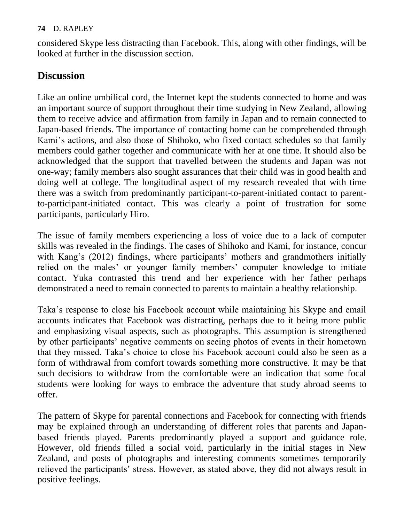considered Skype less distracting than Facebook. This, along with other findings, will be looked at further in the discussion section.

# **Discussion**

Like an online umbilical cord, the Internet kept the students connected to home and was an important source of support throughout their time studying in New Zealand, allowing them to receive advice and affirmation from family in Japan and to remain connected to Japan-based friends. The importance of contacting home can be comprehended through Kami's actions, and also those of Shihoko, who fixed contact schedules so that family members could gather together and communicate with her at one time. It should also be acknowledged that the support that travelled between the students and Japan was not one-way; family members also sought assurances that their child was in good health and doing well at college. The longitudinal aspect of my research revealed that with time there was a switch from predominantly participant-to-parent-initiated contact to parentto-participant-initiated contact. This was clearly a point of frustration for some participants, particularly Hiro.

The issue of family members experiencing a loss of voice due to a lack of computer skills was revealed in the findings. The cases of Shihoko and Kami, for instance, concur with Kang's (2012) findings, where participants' mothers and grandmothers initially relied on the males' or younger family members' computer knowledge to initiate contact. Yuka contrasted this trend and her experience with her father perhaps demonstrated a need to remain connected to parents to maintain a healthy relationship.

Taka's response to close his Facebook account while maintaining his Skype and email accounts indicates that Facebook was distracting, perhaps due to it being more public and emphasizing visual aspects, such as photographs. This assumption is strengthened by other participants' negative comments on seeing photos of events in their hometown that they missed. Taka's choice to close his Facebook account could also be seen as a form of withdrawal from comfort towards something more constructive. It may be that such decisions to withdraw from the comfortable were an indication that some focal students were looking for ways to embrace the adventure that study abroad seems to offer.

The pattern of Skype for parental connections and Facebook for connecting with friends may be explained through an understanding of different roles that parents and Japanbased friends played. Parents predominantly played a support and guidance role. However, old friends filled a social void, particularly in the initial stages in New Zealand, and posts of photographs and interesting comments sometimes temporarily relieved the participants' stress. However, as stated above, they did not always result in positive feelings.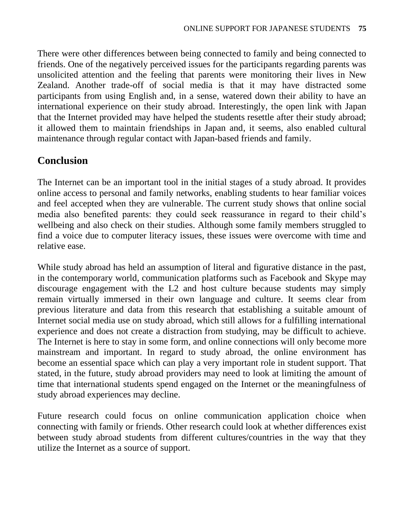There were other differences between being connected to family and being connected to friends. One of the negatively perceived issues for the participants regarding parents was unsolicited attention and the feeling that parents were monitoring their lives in New Zealand. Another trade-off of social media is that it may have distracted some participants from using English and, in a sense, watered down their ability to have an international experience on their study abroad. Interestingly, the open link with Japan that the Internet provided may have helped the students resettle after their study abroad; it allowed them to maintain friendships in Japan and, it seems, also enabled cultural maintenance through regular contact with Japan-based friends and family.

# **Conclusion**

The Internet can be an important tool in the initial stages of a study abroad. It provides online access to personal and family networks, enabling students to hear familiar voices and feel accepted when they are vulnerable. The current study shows that online social media also benefited parents: they could seek reassurance in regard to their child's wellbeing and also check on their studies. Although some family members struggled to find a voice due to computer literacy issues, these issues were overcome with time and relative ease.

While study abroad has held an assumption of literal and figurative distance in the past, in the contemporary world, communication platforms such as Facebook and Skype may discourage engagement with the L2 and host culture because students may simply remain virtually immersed in their own language and culture. It seems clear from previous literature and data from this research that establishing a suitable amount of Internet social media use on study abroad, which still allows for a fulfilling international experience and does not create a distraction from studying, may be difficult to achieve. The Internet is here to stay in some form, and online connections will only become more mainstream and important. In regard to study abroad, the online environment has become an essential space which can play a very important role in student support. That stated, in the future, study abroad providers may need to look at limiting the amount of time that international students spend engaged on the Internet or the meaningfulness of study abroad experiences may decline.

Future research could focus on online communication application choice when connecting with family or friends. Other research could look at whether differences exist between study abroad students from different cultures/countries in the way that they utilize the Internet as a source of support.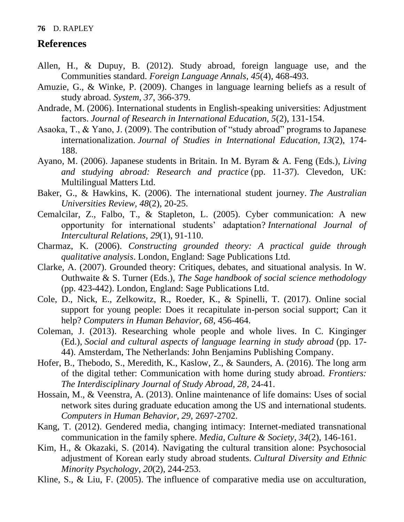### **References**

- Allen, H., & Dupuy, B. (2012). Study abroad, foreign language use, and the Communities standard. *Foreign Language Annals, 45*(4), 468-493.
- Amuzie, G., & Winke, P. (2009). Changes in language learning beliefs as a result of study abroad. *System, 37*, 366-379.
- Andrade, M. (2006). International students in English-speaking universities: Adjustment factors. *Journal of Research in International Education, 5*(2), 131-154.
- Asaoka, T., & Yano, J. (2009). The contribution of "study abroad" programs to Japanese internationalization. *Journal of Studies in International Education, 13*(2), 174- 188.
- Ayano, M. (2006). Japanese students in Britain. In M. Byram & A. Feng (Eds.), *Living and studying abroad: Research and practice* (pp. 11-37). Clevedon, UK: Multilingual Matters Ltd.
- Baker, G., & Hawkins, K. (2006). The international student journey. *The Australian Universities Review, 48*(2), 20-25.
- Cemalcilar, Z., Falbo, T., & Stapleton, L. (2005). Cyber communication: A new opportunity for international students' adaptation? *International Journal of Intercultural Relations, 29*(1), 91-110.
- Charmaz, K. (2006). *Constructing grounded theory: A practical guide through qualitative analysis*. London, England: Sage Publications Ltd.
- Clarke, A. (2007). Grounded theory: Critiques, debates, and situational analysis. In W. Outhwaite & S. Turner (Eds.), *The Sage handbook of social science methodology* (pp. 423-442). London, England: Sage Publications Ltd.
- Cole, D., Nick, E., Zelkowitz, R., Roeder, K., & Spinelli, T. (2017). Online social support for young people: Does it recapitulate in-person social support; Can it help? *Computers in Human Behavior, 68*, 456-464.
- Coleman, J. (2013). Researching whole people and whole lives. In C. Kinginger (Ed.), *Social and cultural aspects of language learning in study abroad* (pp. 17- 44). Amsterdam, The Netherlands: John Benjamins Publishing Company.
- Hofer, B., Thebodo, S., Meredith, K., Kaslow, Z., & Saunders, A. (2016). The long arm of the digital tether: Communication with home during study abroad. *Frontiers: The Interdisciplinary Journal of Study Abroad, 28*, 24-41.
- Hossain, M., & Veenstra, A. (2013). Online maintenance of life domains: Uses of social network sites during graduate education among the US and international students. *Computers in Human Behavior, 29,* 2697-2702.
- Kang, T. (2012). Gendered media, changing intimacy: Internet-mediated transnational communication in the family sphere. *Media, Culture & Society*, *34*(2), 146-161.
- Kim, H., & Okazaki, S. (2014). Navigating the cultural transition alone: Psychosocial adjustment of Korean early study abroad students. *Cultural Diversity and Ethnic Minority Psychology*, *20*(2), 244-253.
- Kline, S., & Liu, F. (2005). The influence of comparative media use on acculturation,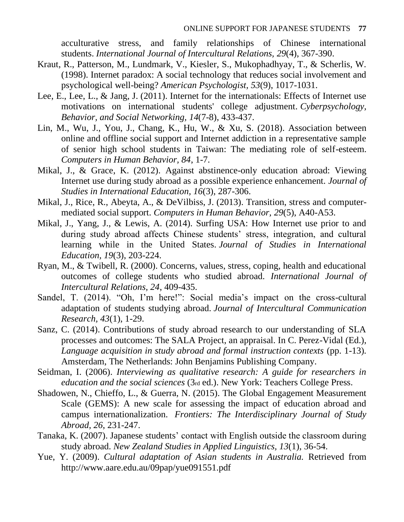acculturative stress, and family relationships of Chinese international students. *International Journal of Intercultural Relations, 29*(4), 367-390.

- Kraut, R., Patterson, M., Lundmark, V., Kiesler, S., Mukophadhyay, T., & Scherlis, W. (1998). Internet paradox: A social technology that reduces social involvement and psychological well-being? *American Psychologist, 53*(9), 1017-1031.
- Lee, E., Lee, L., & Jang, J. (2011). Internet for the internationals: Effects of Internet use motivations on international students' college adjustment. *Cyberpsychology, Behavior, and Social Networking, 14*(7-8), 433-437.
- Lin, M., Wu, J., You, J., Chang, K., Hu, W., & Xu, S. (2018). Association between online and offline social support and Internet addiction in a representative sample of senior high school students in Taiwan: The mediating role of self-esteem. *Computers in Human Behavior, 84*, 1-7.
- Mikal, J., & Grace, K. (2012). Against abstinence-only education abroad: Viewing Internet use during study abroad as a possible experience enhancement. *Journal of Studies in International Education, 16*(3), 287-306.
- Mikal, J., Rice, R., Abeyta, A., & DeVilbiss, J. (2013). Transition, stress and computermediated social support. *Computers in Human Behavior, 29*(5), A40-A53.
- Mikal, J., Yang, J., & Lewis, A. (2014). Surfing USA: How Internet use prior to and during study abroad affects Chinese students' stress, integration, and cultural learning while in the United States. *Journal of Studies in International Education, 19*(3), 203-224.
- Ryan, M., & Twibell, R. (2000). Concerns, values, stress, coping, health and educational outcomes of college students who studied abroad. *International Journal of Intercultural Relations, 24*, 409-435.
- Sandel, T. (2014). "Oh, I'm here!": Social media's impact on the cross-cultural adaptation of students studying abroad. *Journal of Intercultural Communication Research, 43*(1), 1-29.
- Sanz, C. (2014). Contributions of study abroad research to our understanding of SLA processes and outcomes: The SALA Project, an appraisal. In C. Perez-Vidal (Ed.), *Language acquisition in study abroad and formal instruction contexts* (pp. 1-13)*.* Amsterdam, The Netherlands: John Benjamins Publishing Company.
- Seidman, I. (2006). *Interviewing as qualitative research: A guide for researchers in education and the social sciences* (3rd ed.). New York: Teachers College Press.
- Shadowen, N., Chieffo, L., & Guerra, N. (2015). The Global Engagement Measurement Scale (GEMS): A new scale for assessing the impact of education abroad and campus internationalization. *Frontiers: The Interdisciplinary Journal of Study Abroad*, *26*, 231-247.
- Tanaka, K. (2007). Japanese students' contact with English outside the classroom during study abroad. *New Zealand Studies in Applied Linguistics, 13*(1), 36-54.
- Yue, Y. (2009). *Cultural adaptation of Asian students in Australia.* Retrieved from <http://www.aare.edu.au/09pap/yue091551.pdf>